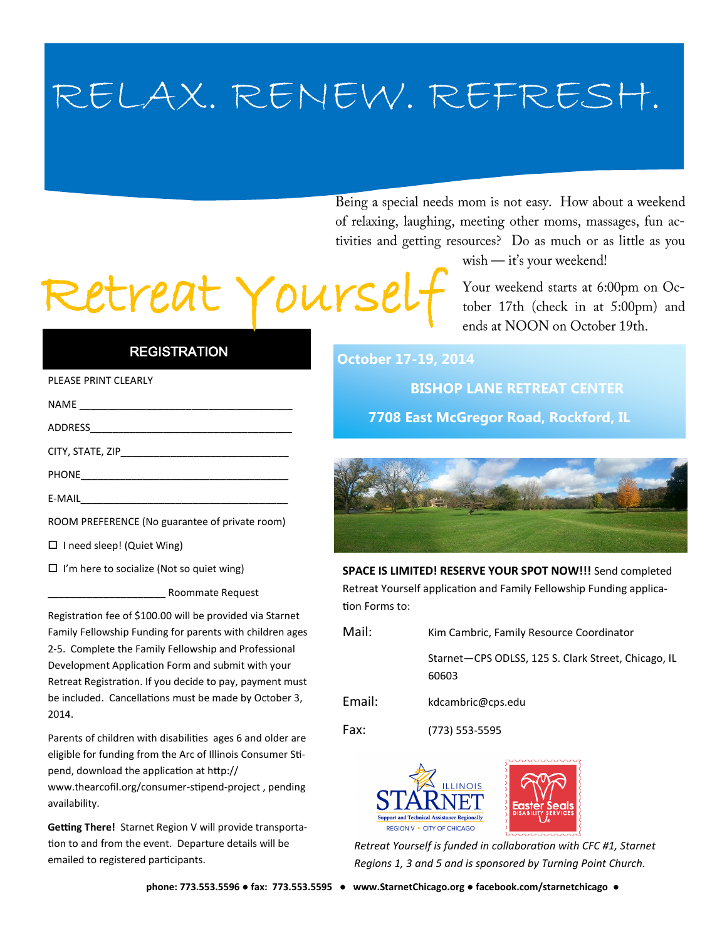## RELAX. RENEW. REFRESH.

Being a special needs mom is not easy. How about a weekend of relaxing, laughing, meeting other moms, massages, fun activities and getting resources? Do as much or as little as you

wish - it's your weekend!

Retreat Your!

Your weekend starts at 6:00pm on October 17th (check in at 5:00pm) and ends at NOON on October 19th.

## **REGISTRATION**

## PLEASE PRINT CLEARLY

| <b>NAME</b>      |
|------------------|
| ADDRESS          |
| CITY, STATE, ZIP |
| <b>PHONE</b>     |

E-MAIL\_\_\_\_\_\_\_\_\_\_\_\_\_\_\_\_\_\_\_\_\_\_\_\_\_\_\_\_\_\_\_\_\_\_\_\_\_

ROOM PREFERENCE (No guarantee of private room)

| □ I need sleep! (Quiet Wing) |
|------------------------------|
|------------------------------|

 $\Box$  I'm here to socialize (Not so quiet wing)

\_\_\_\_\_\_\_\_\_\_\_\_\_\_\_\_\_\_\_\_\_ Roommate Request

Registration fee of \$100.00 will be provided via Starnet Family Fellowship Funding for parents with children ages 2-5. Complete the Family Fellowship and Professional Development Application Form and submit with your Retreat Registration. If you decide to pay, payment must be included. Cancellations must be made by October 3, 2014.

Parents of children with disabilities ages 6 and older are eligible for funding from the Arc of Illinois Consumer Stipend, download the application at http:// www.thearcofil.org/consumer-stipend-project , pending availability.

**Getting There!** Starnet Region V will provide transportation to and from the event. Departure details will be emailed to registered participants.

**October 17-19, 2014**

 **BISHOP LANE RETREAT CENTER**

**7708 East McGregor Road, Rockford, IL**



**SPACE IS LIMITED! RESERVE YOUR SPOT NOW!!!** Send completed Retreat Yourself application and Family Fellowship Funding application Forms to:

| Mail:  | Kim Cambric, Family Resource Coordinator                     |
|--------|--------------------------------------------------------------|
|        | Starnet-CPS ODLSS, 125 S. Clark Street, Chicago, IL<br>60603 |
| Email: | kdcambric@cps.edu                                            |



*Retreat Yourself is funded in collaboration with CFC #1, Starnet Regions 1, 3 and 5 and is sponsored by Turning Point Church.*

Fax: (773) 553-5595